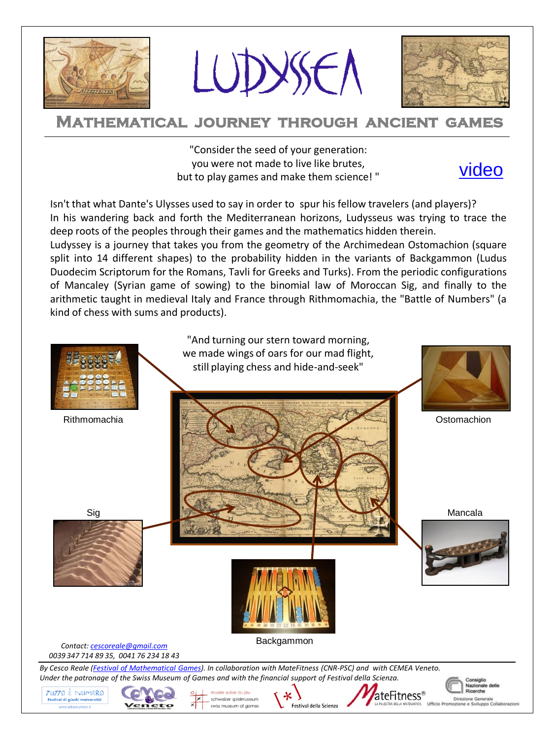

LUDYSEN



# **Mathematical journey through ancient games**

"Consider the seed of your generation: you were not made to live like brutes, but to play games and make them science! "



Isn't that what Dante's Ulysses used to say in order to spur his fellow travelers (and players)? In his wandering back and forth the Mediterranean horizons, Ludysseus was trying to trace the deep roots of the peoples through their games and the mathematics hidden therein.

Ludyssey is a journey that takes you from the geometry of the Archimedean Ostomachion (square split into 14 different shapes) to the probability hidden in the variants of Backgammon (Ludus Duodecim Scriptorum for the Romans, Tavli for Greeks and Turks). From the periodic configurations of Mancaley (Syrian game of sowing) to the binomial law of Moroccan Sig, and finally to the arithmetic taught in medieval Italy and France through Rithmomachia, the "Battle of Numbers" (a kind of chess with sums and products).

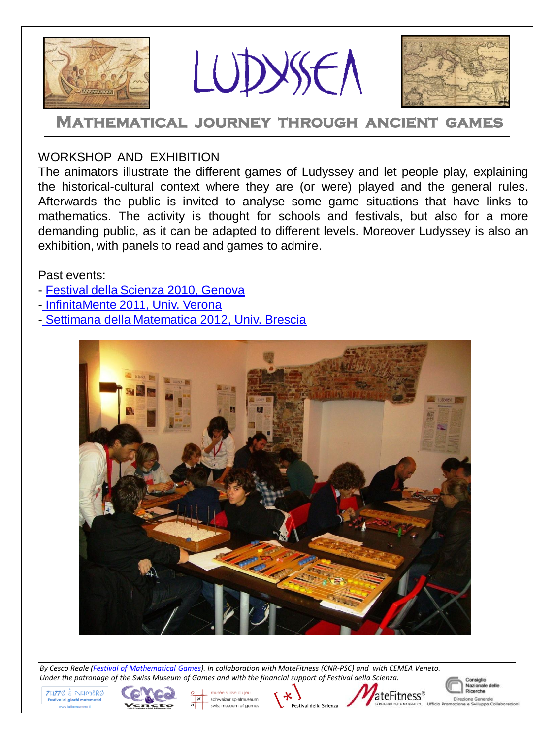





### **Mathematical journey through ancient games**

#### WORKSHOP AND EXHIBITION

The animators illustrate the different games of Ludyssey and let people play, explaining the historical-cultural context where they are (or were) played and the general rules. Afterwards the public is invited to analyse some game situations that have links to mathematics. The activity is thought for schools and festivals, but also for a more demanding public, as it can be adapted to different levels. Moreover Ludyssey is also an exhibition, with panels to read and games to admire.

Past events:

- [Festival della Scienza 2010, Genova](http://picasaweb.google.com/cescoreale/FestivalDellaScienza2010LudysseaEAlLupoAlLupo)
- [-](https://picasaweb.google.com/117293336908517906992/LudysseaInfinitaMente2011Verona) [InfinitaMente 2011, Univ. Verona](https://picasaweb.google.com/117293336908517906992/LudysseaInfinitaMente2011Verona)
- [-](http://brescia.unicatt.it/events_12111.html) [Settimana della Matematica 2012, Univ. Brescia](http://brescia.unicatt.it/events_12216.html)



*By Cesco Reale ([Festival of](http://www.tuttoenumero.it/) [Mathematical](http://www.tuttoenumero.it/) [Games\)](http://www.tuttoenumero.it/). In collaboration with MateFitness (CNR-PSC) and with CEMEA Veneto. Under the patronage of the Swiss Museum of Games and with the financial support of Festival della Scienza.*





schweizer spielmuseum swiss museum of games





Nazionale delle Ricerche e Gener Sviluppo Collaborazion